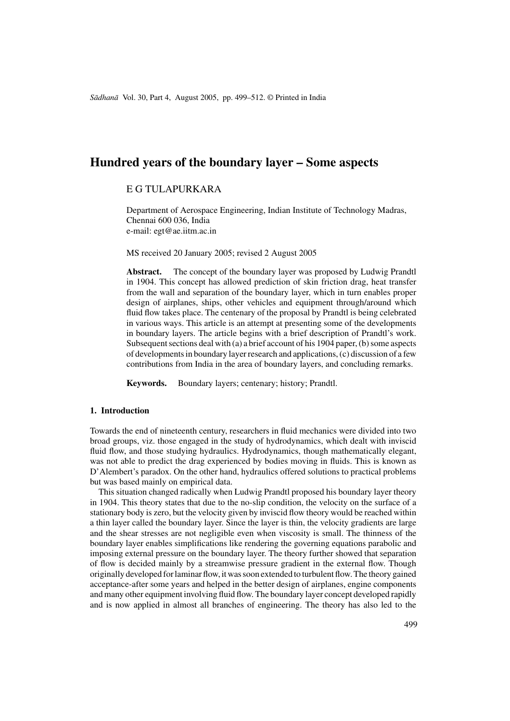# **Hundred years of the boundary layer – Some aspects**

# E G TULAPURKARA

Department of Aerospace Engineering, Indian Institute of Technology Madras, Chennai 600 036, India e-mail: egt@ae.iitm.ac.in

MS received 20 January 2005; revised 2 August 2005

**Abstract.** The concept of the boundary layer was proposed by Ludwig Prandtl in 1904. This concept has allowed prediction of skin friction drag, heat transfer from the wall and separation of the boundary layer, which in turn enables proper design of airplanes, ships, other vehicles and equipment through/around which fluid flow takes place. The centenary of the proposal by Prandtl is being celebrated in various ways. This article is an attempt at presenting some of the developments in boundary layers. The article begins with a brief description of Prandtl's work. Subsequent sections deal with (a) a brief account of his 1904 paper, (b) some aspects of developments in boundary layer research and applications, (c) discussion of a few contributions from India in the area of boundary layers, and concluding remarks.

**Keywords.** Boundary layers; centenary; history; Prandtl.

# **1. Introduction**

Towards the end of nineteenth century, researchers in fluid mechanics were divided into two broad groups, viz. those engaged in the study of hydrodynamics, which dealt with inviscid fluid flow, and those studying hydraulics. Hydrodynamics, though mathematically elegant, was not able to predict the drag experienced by bodies moving in fluids. This is known as D'Alembert's paradox. On the other hand, hydraulics offered solutions to practical problems but was based mainly on empirical data.

This situation changed radically when Ludwig Prandtl proposed his boundary layer theory in 1904. This theory states that due to the no-slip condition, the velocity on the surface of a stationary body is zero, but the velocity given by inviscid flow theory would be reached within a thin layer called the boundary layer. Since the layer is thin, the velocity gradients are large and the shear stresses are not negligible even when viscosity is small. The thinness of the boundary layer enables simplifications like rendering the governing equations parabolic and imposing external pressure on the boundary layer. The theory further showed that separation of flow is decided mainly by a streamwise pressure gradient in the external flow. Though originally developed for laminar flow, it was soon extended to turbulent flow. The theory gained acceptance-after some years and helped in the better design of airplanes, engine components and many other equipment involving fluid flow. The boundary layer concept developed rapidly and is now applied in almost all branches of engineering. The theory has also led to the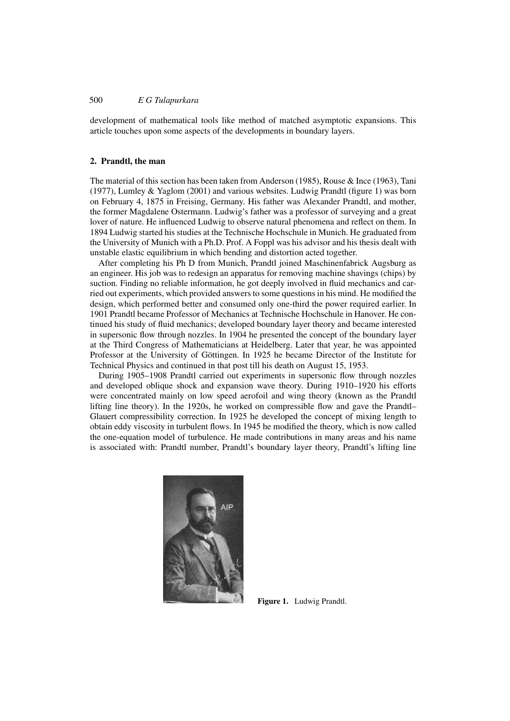# 500 *E G Tulapurkara*

development of mathematical tools like method of matched asymptotic expansions. This article touches upon some aspects of the developments in boundary layers.

#### **2. Prandtl, the man**

The material of this section has been taken from Anderson (1985), Rouse & Ince (1963), Tani (1977), Lumley & Yaglom (2001) and various websites. Ludwig Prandtl (figure 1) was born on February 4, 1875 in Freising, Germany. His father was Alexander Prandtl, and mother, the former Magdalene Ostermann. Ludwig's father was a professor of surveying and a great lover of nature. He influenced Ludwig to observe natural phenomena and reflect on them. In 1894 Ludwig started his studies at the Technische Hochschule in Munich. He graduated from the University of Munich with a Ph.D. Prof. A Foppl was his advisor and his thesis dealt with unstable elastic equilibrium in which bending and distortion acted together.

After completing his Ph D from Munich, Prandtl joined Maschinenfabrick Augsburg as an engineer. His job was to redesign an apparatus for removing machine shavings (chips) by suction. Finding no reliable information, he got deeply involved in fluid mechanics and carried out experiments, which provided answers to some questions in his mind. He modified the design, which performed better and consumed only one-third the power required earlier. In 1901 Prandtl became Professor of Mechanics at Technische Hochschule in Hanover. He continued his study of fluid mechanics; developed boundary layer theory and became interested in supersonic flow through nozzles. In 1904 he presented the concept of the boundary layer at the Third Congress of Mathematicians at Heidelberg. Later that year, he was appointed Professor at the University of Göttingen. In 1925 he became Director of the Institute for Technical Physics and continued in that post till his death on August 15, 1953.

During 1905–1908 Prandtl carried out experiments in supersonic flow through nozzles and developed oblique shock and expansion wave theory. During 1910–1920 his efforts were concentrated mainly on low speed aerofoil and wing theory (known as the Prandtl lifting line theory). In the 1920s, he worked on compressible flow and gave the Prandtl– Glauert compressibility correction. In 1925 he developed the concept of mixing length to obtain eddy viscosity in turbulent flows. In 1945 he modified the theory, which is now called the one-equation model of turbulence. He made contributions in many areas and his name is associated with: Prandtl number, Prandtl's boundary layer theory, Prandtl's lifting line



**Figure 1.** Ludwig Prandtl.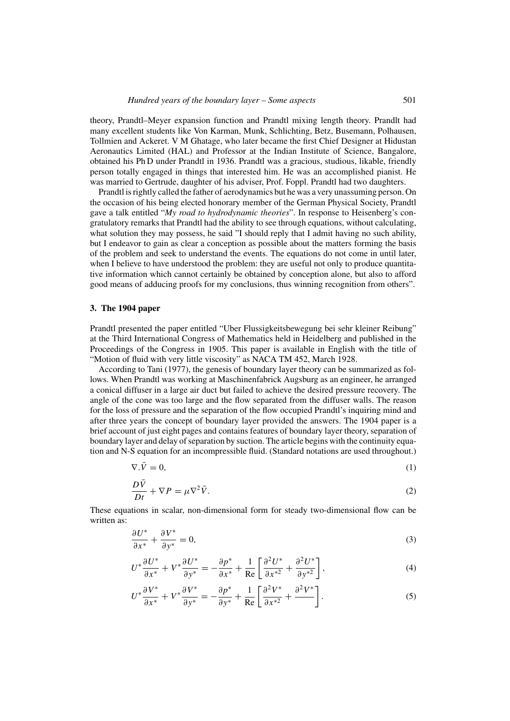theory, Prandtl–Meyer expansion function and Prandtl mixing length theory. Prandlt had many excellent students like Von Karman, Munk, Schlichting, Betz, Busemann, Polhausen, Tollmien and Ackeret. V M Ghatage, who later became the first Chief Designer at Hidustan Aeronautics Limited (HAL) and Professor at the Indian Institute of Science, Bangalore, obtained his Ph D under Prandtl in 1936. Prandtl was a gracious, studious, likable, friendly person totally engaged in things that interested him. He was an accomplished pianist. He was married to Gertrude, daughter of his adviser, Prof. Foppl. Prandtl had two daughters.

Prandtl is rightly called the father of aerodynamics but he was a very unassuming person. On the occasion of his being elected honorary member of the German Physical Society, Prandtl gave a talk entitled "*My road to hydrodynamic theories*". In response to Heisenberg's congratulatory remarks that Prandtl had the ability to see through equations, without calculating, what solution they may possess, he said "I should reply that I admit having no such ability, but I endeavor to gain as clear a conception as possible about the matters forming the basis of the problem and seek to understand the events. The equations do not come in until later, when I believe to have understood the problem: they are useful not only to produce quantitative information which cannot certainly be obtained by conception alone, but also to afford good means of adducing proofs for my conclusions, thus winning recognition from others".

## **3. The 1904 paper**

Prandtl presented the paper entitled "Uber Flussigkeitsbewegung bei sehr kleiner Reibung" at the Third International Congress of Mathematics held in Heidelberg and published in the Proceedings of the Congress in 1905. This paper is available in English with the title of "Motion of fluid with very little viscosity" as NACA TM 452, March 1928.

According to Tani (1977), the genesis of boundary layer theory can be summarized as follows. When Prandtl was working at Maschinenfabrick Augsburg as an engineer, he arranged a conical diffuser in a large air duct but failed to achieve the desired pressure recovery. The angle of the cone was too large and the flow separated from the diffuser walls. The reason for the loss of pressure and the separation of the flow occupied Prandtl's inquiring mind and after three years the concept of boundary layer provided the answers. The 1904 paper is a brief account of just eight pages and contains features of boundary layer theory, separation of boundary layer and delay of separation by suction. The article begins with the continuity equation and N-S equation for an incompressible fluid. (Standard notations are used throughout.)

$$
\nabla \cdot \bar{V} = 0,\tag{1}
$$

$$
\frac{D\bar{V}}{Dt} + \nabla P = \mu \nabla^2 \bar{V}.
$$
 (2)

These equations in scalar, non-dimensional form for steady two-dimensional flow can be written as:

$$
\frac{\partial U^*}{\partial x^*} + \frac{\partial V^*}{\partial y^*} = 0,\tag{3}
$$

$$
U^* \frac{\partial U^*}{\partial x^*} + V^* \frac{\partial U^*}{\partial y^*} = -\frac{\partial p^*}{\partial x^*} + \frac{1}{\text{Re}} \left[ \frac{\partial^2 U^*}{\partial x^{*2}} + \frac{\partial^2 U^*}{\partial y^{*2}} \right],\tag{4}
$$

$$
U^* \frac{\partial V^*}{\partial x^*} + V^* \frac{\partial V^*}{\partial y^*} = -\frac{\partial p^*}{\partial y^*} + \frac{1}{\text{Re}} \left[ \frac{\partial^2 V^*}{\partial x^{*2}} + \frac{\partial^2 V^*}{\partial y^*} \right].
$$
 (5)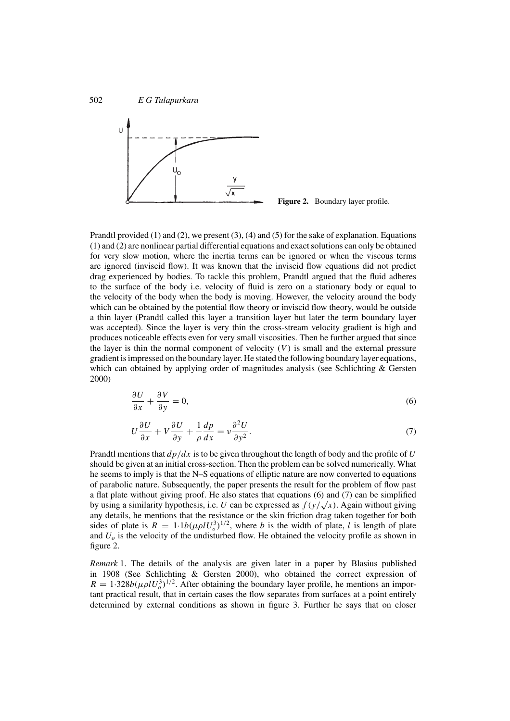

**Figure 2.** Boundary layer profile.

Prandtl provided  $(1)$  and  $(2)$ , we present  $(3)$ ,  $(4)$  and  $(5)$  for the sake of explanation. Equations (1) and (2) are nonlinear partial differential equations and exact solutions can only be obtained for very slow motion, where the inertia terms can be ignored or when the viscous terms are ignored (inviscid flow). It was known that the inviscid flow equations did not predict drag experienced by bodies. To tackle this problem, Prandtl argued that the fluid adheres to the surface of the body i.e. velocity of fluid is zero on a stationary body or equal to the velocity of the body when the body is moving. However, the velocity around the body which can be obtained by the potential flow theory or inviscid flow theory, would be outside a thin layer (Prandtl called this layer a transition layer but later the term boundary layer was accepted). Since the layer is very thin the cross-stream velocity gradient is high and produces noticeable effects even for very small viscosities. Then he further argued that since the layer is thin the normal component of velocity  $(V)$  is small and the external pressure gradient is impressed on the boundary layer. He stated the following boundary layer equations, which can obtained by applying order of magnitudes analysis (see Schlichting & Gersten 2000)

$$
\frac{\partial U}{\partial x} + \frac{\partial V}{\partial y} = 0,\tag{6}
$$

$$
U\frac{\partial U}{\partial x} + V\frac{\partial U}{\partial y} + \frac{1}{\rho}\frac{dp}{dx} = \nu\frac{\partial^2 U}{\partial y^2}.
$$
 (7)

Prandtl mentions that *dp/dx* is to be given throughout the length of body and the profile of *U* should be given at an initial cross-section. Then the problem can be solved numerically. What he seems to imply is that the N–S equations of elliptic nature are now converted to equations of parabolic nature. Subsequently, the paper presents the result for the problem of flow past a flat plate without giving proof. He also states that equations (6) and (7) can be simplified by using a similarity hypothesis, i.e. *U* can be expressed as  $f(y/\sqrt{x})$ . Again without giving any details, he mentions that the resistance or the skin friction drag taken together for both sides of plate is  $R = 1.1b(\mu \rho l U_o^3)^{1/2}$ , where *b* is the width of plate, *l* is length of plate and  $U<sub>o</sub>$  is the velocity of the undisturbed flow. He obtained the velocity profile as shown in figure 2.

*Remark* 1. The details of the analysis are given later in a paper by Blasius published in 1908 (See Schlichting & Gersten 2000), who obtained the correct expression of  $R = 1.328b(\mu \rho l U_o^3)^{1/2}$ . After obtaining the boundary layer profile, he mentions an important practical result, that in certain cases the flow separates from surfaces at a point entirely determined by external conditions as shown in figure 3. Further he says that on closer

502 *E G Tulapurkara*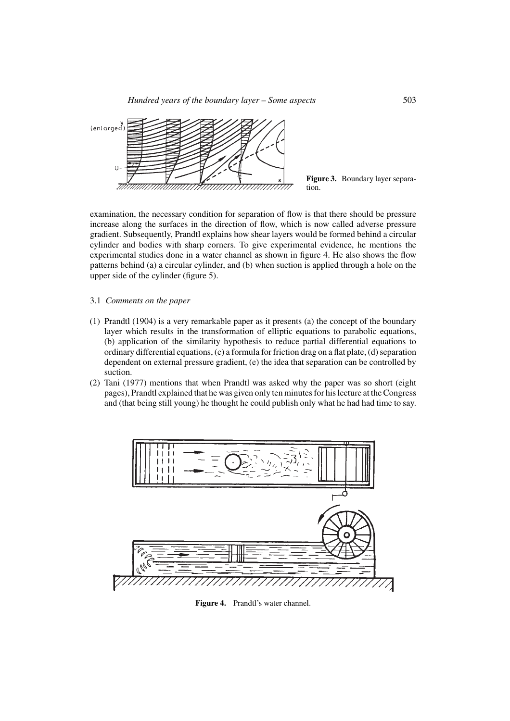*Hundred years of the boundary layer – Some aspects* 503



**Figure 3.** Boundary layer separation.

examination, the necessary condition for separation of flow is that there should be pressure increase along the surfaces in the direction of flow, which is now called adverse pressure gradient. Subsequently, Prandtl explains how shear layers would be formed behind a circular cylinder and bodies with sharp corners. To give experimental evidence, he mentions the experimental studies done in a water channel as shown in figure 4. He also shows the flow patterns behind (a) a circular cylinder, and (b) when suction is applied through a hole on the upper side of the cylinder (figure 5).

- 3.1 *Comments on the paper*
- (1) Prandtl (1904) is a very remarkable paper as it presents (a) the concept of the boundary layer which results in the transformation of elliptic equations to parabolic equations, (b) application of the similarity hypothesis to reduce partial differential equations to ordinary differential equations, (c) a formula for friction drag on a flat plate, (d) separation dependent on external pressure gradient, (e) the idea that separation can be controlled by suction.
- (2) Tani (1977) mentions that when Prandtl was asked why the paper was so short (eight pages), Prandtl explained that he was given only ten minutes for his lecture at the Congress and (that being still young) he thought he could publish only what he had had time to say.



Figure 4. Prandtl's water channel.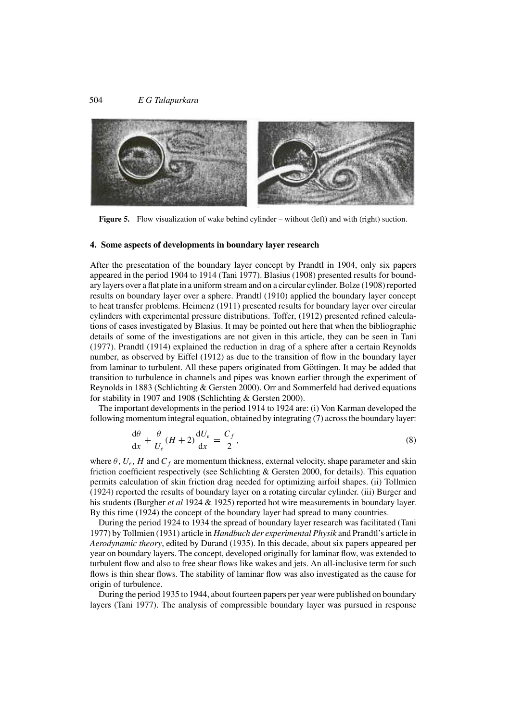

**Figure 5.** Flow visualization of wake behind cylinder – without (left) and with (right) suction.

#### **4. Some aspects of developments in boundary layer research**

After the presentation of the boundary layer concept by Prandtl in 1904, only six papers appeared in the period 1904 to 1914 (Tani 1977). Blasius (1908) presented results for boundary layers over a flat plate in a uniform stream and on a circular cylinder. Bolze (1908) reported results on boundary layer over a sphere. Prandtl (1910) applied the boundary layer concept to heat transfer problems. Heimenz (1911) presented results for boundary layer over circular cylinders with experimental pressure distributions. Toffer, (1912) presented refined calculations of cases investigated by Blasius. It may be pointed out here that when the bibliographic details of some of the investigations are not given in this article, they can be seen in Tani (1977). Prandtl (1914) explained the reduction in drag of a sphere after a certain Reynolds number, as observed by Eiffel (1912) as due to the transition of flow in the boundary layer from laminar to turbulent. All these papers originated from Göttingen. It may be added that transition to turbulence in channels and pipes was known earlier through the experiment of Reynolds in 1883 (Schlichting & Gersten 2000). Orr and Sommerfeld had derived equations for stability in 1907 and 1908 (Schlichting & Gersten 2000).

The important developments in the period 1914 to 1924 are: (i) Von Karman developed the following momentum integral equation, obtained by integrating (7) across the boundary layer:

$$
\frac{d\theta}{dx} + \frac{\theta}{U_e}(H+2)\frac{dU_e}{dx} = \frac{C_f}{2},\tag{8}
$$

where  $\theta$ ,  $U_e$ , H and  $C_f$  are momentum thickness, external velocity, shape parameter and skin friction coefficient respectively (see Schlichting & Gersten 2000, for details). This equation permits calculation of skin friction drag needed for optimizing airfoil shapes. (ii) Tollmien (1924) reported the results of boundary layer on a rotating circular cylinder. (iii) Burger and his students (Burgher *et al* 1924 & 1925) reported hot wire measurements in boundary layer. By this time (1924) the concept of the boundary layer had spread to many countries.

During the period 1924 to 1934 the spread of boundary layer research was facilitated (Tani 1977) by Tollmien (1931) article in *Handbuch der experimental Physik* and Prandtl's article in *Aerodynamic theory*, edited by Durand (1935). In this decade, about six papers appeared per year on boundary layers. The concept, developed originally for laminar flow, was extended to turbulent flow and also to free shear flows like wakes and jets. An all-inclusive term for such flows is thin shear flows. The stability of laminar flow was also investigated as the cause for origin of turbulence.

During the period 1935 to 1944, about fourteen papers per year were published on boundary layers (Tani 1977). The analysis of compressible boundary layer was pursued in response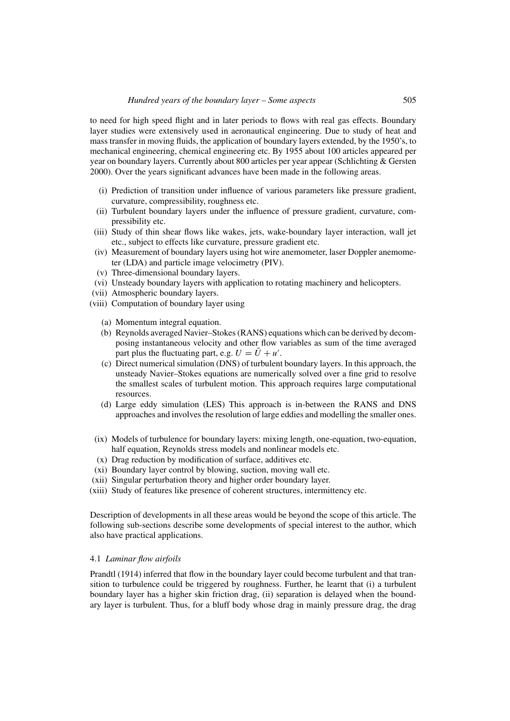to need for high speed flight and in later periods to flows with real gas effects. Boundary layer studies were extensively used in aeronautical engineering. Due to study of heat and mass transfer in moving fluids, the application of boundary layers extended, by the 1950's, to mechanical engineering, chemical engineering etc. By 1955 about 100 articles appeared per year on boundary layers. Currently about 800 articles per year appear (Schlichting & Gersten 2000). Over the years significant advances have been made in the following areas.

- (i) Prediction of transition under influence of various parameters like pressure gradient, curvature, compressibility, roughness etc.
- (ii) Turbulent boundary layers under the influence of pressure gradient, curvature, compressibility etc.
- (iii) Study of thin shear flows like wakes, jets, wake-boundary layer interaction, wall jet etc., subject to effects like curvature, pressure gradient etc.
- (iv) Measurement of boundary layers using hot wire anemometer, laser Doppler anemometer (LDA) and particle image velocimetry (PIV).
- (v) Three-dimensional boundary layers.
- (vi) Unsteady boundary layers with application to rotating machinery and helicopters.
- (vii) Atmospheric boundary layers.
- (viii) Computation of boundary layer using
	- (a) Momentum integral equation.
	- (b) Reynolds averaged Navier–Stokes (RANS) equations which can be derived by decomposing instantaneous velocity and other flow variables as sum of the time averaged part plus the fluctuating part, e.g.  $U = \overline{U} + u'$ .
	- (c) Direct numerical simulation (DNS) of turbulent boundary layers. In this approach, the unsteady Navier–Stokes equations are numerically solved over a fine grid to resolve the smallest scales of turbulent motion. This approach requires large computational resources.
	- (d) Large eddy simulation (LES) This approach is in-between the RANS and DNS approaches and involves the resolution of large eddies and modelling the smaller ones.
- (ix) Models of turbulence for boundary layers: mixing length, one-equation, two-equation, half equation, Reynolds stress models and nonlinear models etc.
- (x) Drag reduction by modification of surface, additives etc.
- (xi) Boundary layer control by blowing, suction, moving wall etc.
- (xii) Singular perturbation theory and higher order boundary layer.
- (xiii) Study of features like presence of coherent structures, intermittency etc.

Description of developments in all these areas would be beyond the scope of this article. The following sub-sections describe some developments of special interest to the author, which also have practical applications.

### 4.1 *Laminar flow airfoils*

Prandtl (1914) inferred that flow in the boundary layer could become turbulent and that transition to turbulence could be triggered by roughness. Further, he learnt that (i) a turbulent boundary layer has a higher skin friction drag, (ii) separation is delayed when the boundary layer is turbulent. Thus, for a bluff body whose drag in mainly pressure drag, the drag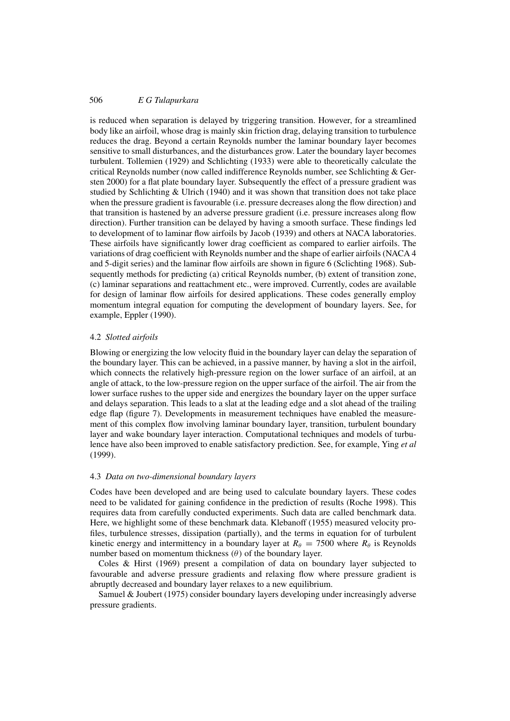# 506 *E G Tulapurkara*

is reduced when separation is delayed by triggering transition. However, for a streamlined body like an airfoil, whose drag is mainly skin friction drag, delaying transition to turbulence reduces the drag. Beyond a certain Reynolds number the laminar boundary layer becomes sensitive to small disturbances, and the disturbances grow. Later the boundary layer becomes turbulent. Tollemien (1929) and Schlichting (1933) were able to theoretically calculate the critical Reynolds number (now called indifference Reynolds number, see Schlichting & Gersten 2000) for a flat plate boundary layer. Subsequently the effect of a pressure gradient was studied by Schlichting & Ulrich (1940) and it was shown that transition does not take place when the pressure gradient is favourable (i.e. pressure decreases along the flow direction) and that transition is hastened by an adverse pressure gradient (i.e. pressure increases along flow direction). Further transition can be delayed by having a smooth surface. These findings led to development of to laminar flow airfoils by Jacob (1939) and others at NACA laboratories. These airfoils have significantly lower drag coefficient as compared to earlier airfoils. The variations of drag coefficient with Reynolds number and the shape of earlier airfoils (NACA 4 and 5-digit series) and the laminar flow airfoils are shown in figure 6 (Sclichting 1968). Subsequently methods for predicting (a) critical Reynolds number, (b) extent of transition zone, (c) laminar separations and reattachment etc., were improved. Currently, codes are available for design of laminar flow airfoils for desired applications. These codes generally employ momentum integral equation for computing the development of boundary layers. See, for example, Eppler (1990).

## 4.2 *Slotted airfoils*

Blowing or energizing the low velocity fluid in the boundary layer can delay the separation of the boundary layer. This can be achieved, in a passive manner, by having a slot in the airfoil, which connects the relatively high-pressure region on the lower surface of an airfoil, at an angle of attack, to the low-pressure region on the upper surface of the airfoil. The air from the lower surface rushes to the upper side and energizes the boundary layer on the upper surface and delays separation. This leads to a slat at the leading edge and a slot ahead of the trailing edge flap (figure 7). Developments in measurement techniques have enabled the measurement of this complex flow involving laminar boundary layer, transition, turbulent boundary layer and wake boundary layer interaction. Computational techniques and models of turbulence have also been improved to enable satisfactory prediction. See, for example, Ying *et al* (1999).

### 4.3 *Data on two-dimensional boundary layers*

Codes have been developed and are being used to calculate boundary layers. These codes need to be validated for gaining confidence in the prediction of results (Roche 1998). This requires data from carefully conducted experiments. Such data are called benchmark data. Here, we highlight some of these benchmark data. Klebanoff (1955) measured velocity profiles, turbulence stresses, dissipation (partially), and the terms in equation for of turbulent kinetic energy and intermittency in a boundary layer at  $R_\theta = 7500$  where  $R_\theta$  is Reynolds number based on momentum thickness  $(\theta)$  of the boundary layer.

Coles & Hirst (1969) present a compilation of data on boundary layer subjected to favourable and adverse pressure gradients and relaxing flow where pressure gradient is abruptly decreased and boundary layer relaxes to a new equilibrium.

Samuel & Joubert (1975) consider boundary layers developing under increasingly adverse pressure gradients.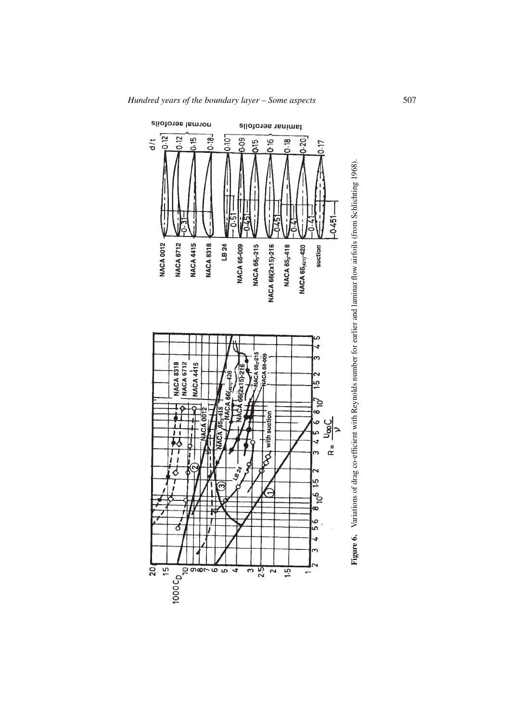

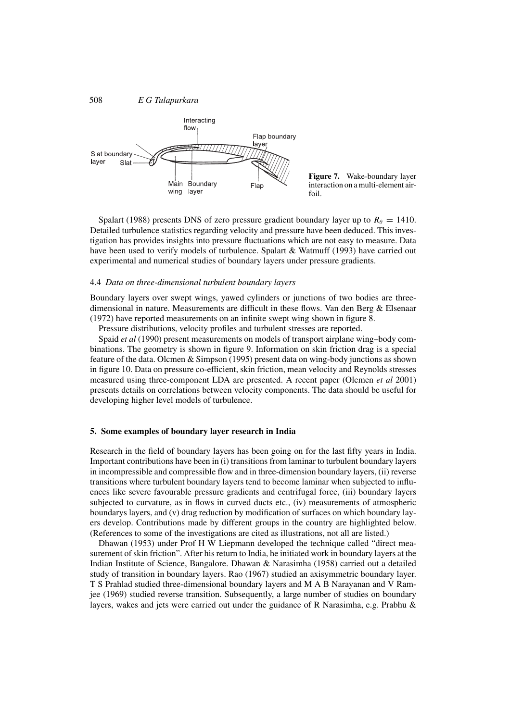

**Figure 7.** Wake-boundary layer interaction on a multi-element airfoil.

Spalart (1988) presents DNS of zero pressure gradient boundary layer up to  $R_\theta = 1410$ . Detailed turbulence statistics regarding velocity and pressure have been deduced. This investigation has provides insights into pressure fluctuations which are not easy to measure. Data have been used to verify models of turbulence. Spalart & Watmuff (1993) have carried out experimental and numerical studies of boundary layers under pressure gradients.

#### 4.4 *Data on three-dimensional turbulent boundary layers*

Boundary layers over swept wings, yawed cylinders or junctions of two bodies are threedimensional in nature. Measurements are difficult in these flows. Van den Berg & Elsenaar (1972) have reported measurements on an infinite swept wing shown in figure 8.

Pressure distributions, velocity profiles and turbulent stresses are reported.

Spaid *et al* (1990) present measurements on models of transport airplane wing–body combinations. The geometry is shown in figure 9. Information on skin friction drag is a special feature of the data. Olcmen & Simpson (1995) present data on wing-body junctions as shown in figure 10. Data on pressure co-efficient, skin friction, mean velocity and Reynolds stresses measured using three-component LDA are presented. A recent paper (Olcmen *et al* 2001) presents details on correlations between velocity components. The data should be useful for developing higher level models of turbulence.

#### **5. Some examples of boundary layer research in India**

Research in the field of boundary layers has been going on for the last fifty years in India. Important contributions have been in (i) transitions from laminar to turbulent boundary layers in incompressible and compressible flow and in three-dimension boundary layers, (ii) reverse transitions where turbulent boundary layers tend to become laminar when subjected to influences like severe favourable pressure gradients and centrifugal force, (iii) boundary layers subjected to curvature, as in flows in curved ducts etc., (iv) measurements of atmospheric boundarys layers, and (v) drag reduction by modification of surfaces on which boundary layers develop. Contributions made by different groups in the country are highlighted below. (References to some of the investigations are cited as illustrations, not all are listed.)

Dhawan (1953) under Prof H W Liepmann developed the technique called "direct measurement of skin friction". After his return to India, he initiated work in boundary layers at the Indian Institute of Science, Bangalore. Dhawan & Narasimha (1958) carried out a detailed study of transition in boundary layers. Rao (1967) studied an axisymmetric boundary layer. T S Prahlad studied three-dimensional boundary layers andMAB Narayanan and V Ramjee (1969) studied reverse transition. Subsequently, a large number of studies on boundary layers, wakes and jets were carried out under the guidance of R Narasimha, e.g. Prabhu &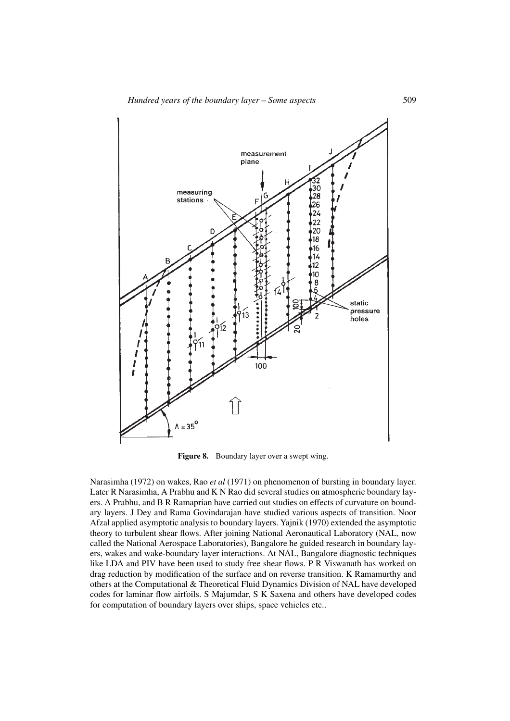

**Figure 8.** Boundary layer over a swept wing.

Narasimha (1972) on wakes, Rao *et al* (1971) on phenomenon of bursting in boundary layer. Later R Narasimha, A Prabhu and K N Rao did several studies on atmospheric boundary layers. A Prabhu, and B R Ramaprian have carried out studies on effects of curvature on boundary layers. J Dey and Rama Govindarajan have studied various aspects of transition. Noor Afzal applied asymptotic analysis to boundary layers. Yajnik (1970) extended the asymptotic theory to turbulent shear flows. After joining National Aeronautical Laboratory (NAL, now called the National Aerospace Laboratories), Bangalore he guided research in boundary layers, wakes and wake-boundary layer interactions. At NAL, Bangalore diagnostic techniques like LDA and PIV have been used to study free shear flows. P R Viswanath has worked on drag reduction by modification of the surface and on reverse transition. K Ramamurthy and others at the Computational & Theoretical Fluid Dynamics Division of NAL have developed codes for laminar flow airfoils. S Majumdar, S K Saxena and others have developed codes for computation of boundary layers over ships, space vehicles etc..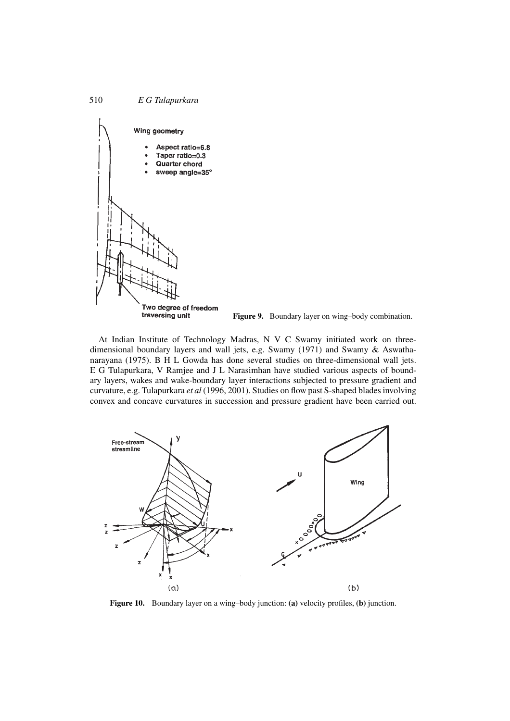

**Figure 9.** Boundary layer on wing–body combination.

At Indian Institute of Technology Madras, N V C Swamy initiated work on threedimensional boundary layers and wall jets, e.g. Swamy (1971) and Swamy & Aswathanarayana (1975). B H L Gowda has done several studies on three-dimensional wall jets. E G Tulapurkara, V Ramjee and J L Narasimhan have studied various aspects of boundary layers, wakes and wake-boundary layer interactions subjected to pressure gradient and curvature, e.g. Tulapurkara *et al* (1996, 2001). Studies on flow past S-shaped blades involving convex and concave curvatures in succession and pressure gradient have been carried out.



**Figure 10.** Boundary layer on a wing–body junction: **(a)** velocity profiles, **(b)** junction.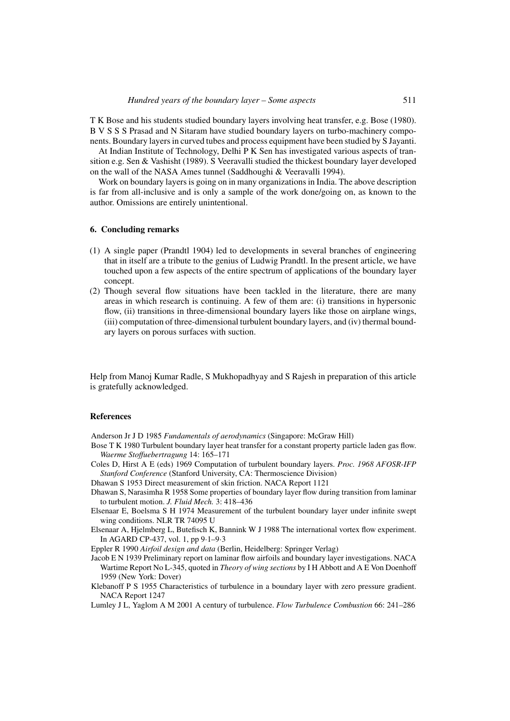T K Bose and his students studied boundary layers involving heat transfer, e.g. Bose (1980). BVSSS Prasad and N Sitaram have studied boundary layers on turbo-machinery components. Boundary layers in curved tubes and process equipment have been studied by S Jayanti.

At Indian Institute of Technology, Delhi P K Sen has investigated various aspects of transition e.g. Sen & Vashisht (1989). S Veeravalli studied the thickest boundary layer developed on the wall of the NASA Ames tunnel (Saddhoughi & Veeravalli 1994).

Work on boundary layers is going on in many organizations in India. The above description is far from all-inclusive and is only a sample of the work done/going on, as known to the author. Omissions are entirely unintentional.

## **6. Concluding remarks**

- (1) A single paper (Prandtl 1904) led to developments in several branches of engineering that in itself are a tribute to the genius of Ludwig Prandtl. In the present article, we have touched upon a few aspects of the entire spectrum of applications of the boundary layer concept.
- (2) Though several flow situations have been tackled in the literature, there are many areas in which research is continuing. A few of them are: (i) transitions in hypersonic flow, (ii) transitions in three-dimensional boundary layers like those on airplane wings, (iii) computation of three-dimensional turbulent boundary layers, and (iv) thermal boundary layers on porous surfaces with suction.

Help from Manoj Kumar Radle, S Mukhopadhyay and S Rajesh in preparation of this article is gratefully acknowledged.

# **References**

Anderson Jr J D 1985 *Fundamentals of aerodynamics* (Singapore: McGraw Hill)

- Bose T K 1980 Turbulent boundary layer heat transfer for a constant property particle laden gas flow. *Waerme Stoffuebertragung* 14: 165–171
- Coles D, Hirst A E (eds) 1969 Computation of turbulent boundary layers. *Proc. 1968 AFOSR-IFP Stanford Conference* (Stanford University, CA: Thermoscience Division)

Dhawan S 1953 Direct measurement of skin friction. NACA Report 1121

- Dhawan S, Narasimha R 1958 Some properties of boundary layer flow during transition from laminar to turbulent motion. *J. Fluid Mech.* 3: 418–436
- Elsenaar E, Boelsma S H 1974 Measurement of the turbulent boundary layer under infinite swept wing conditions. NLR TR 74095 U
- Elsenaar A, Hjelmberg L, Butefisch K, Bannink W J 1988 The international vortex flow experiment. In AGARD CP-437, vol. 1, pp 9·1–9·3

Eppler R 1990 *Airfoil design and data* (Berlin, Heidelberg: Springer Verlag)

- Jacob E N 1939 Preliminary report on laminar flow airfoils and boundary layer investigations. NACA Wartime Report No L-345, quoted in *Theory of wing sections* by I H Abbott and A E Von Doenhoff 1959 (New York: Dover)
- Klebanoff P S 1955 Characteristics of turbulence in a boundary layer with zero pressure gradient. NACA Report 1247

Lumley J L, Yaglom A M 2001 A century of turbulence. *Flow Turbulence Combustion* 66: 241–286